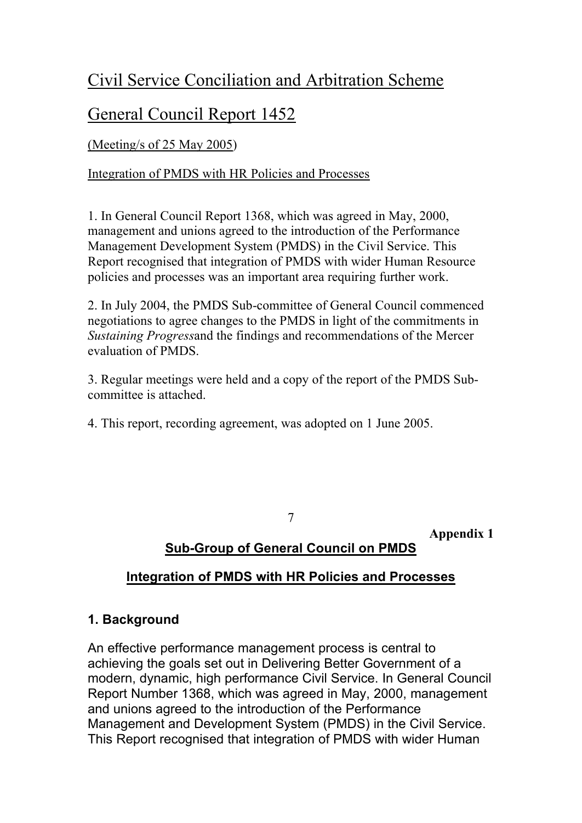# Civil Service Conciliation and Arbitration Scheme

## General Council Report 1452

(Meeting/s of 25 May 2005)

Integration of PMDS with HR Policies and Processes

1. In General Council Report 1368, which was agreed in May, 2000, management and unions agreed to the introduction of the Performance Management Development System (PMDS) in the Civil Service. This Report recognised that integration of PMDS with wider Human Resource policies and processes was an important area requiring further work.

2. In July 2004, the PMDS Sub-committee of General Council commenced negotiations to agree changes to the PMDS in light of the commitments in *Sustaining Progress*and the findings and recommendations of the Mercer evaluation of PMDS.

3. Regular meetings were held and a copy of the report of the PMDS Subcommittee is attached.

4. This report, recording agreement, was adopted on 1 June 2005.

7

**Appendix 1**

## **Sub-Group of General Council on PMDS**

## **Integration of PMDS with HR Policies and Processes**

#### **1. Background**

An effective performance management process is central to achieving the goals set out in Delivering Better Government of a modern, dynamic, high performance Civil Service. In General Council Report Number 1368, which was agreed in May, 2000, management and unions agreed to the introduction of the Performance Management and Development System (PMDS) in the Civil Service. This Report recognised that integration of PMDS with wider Human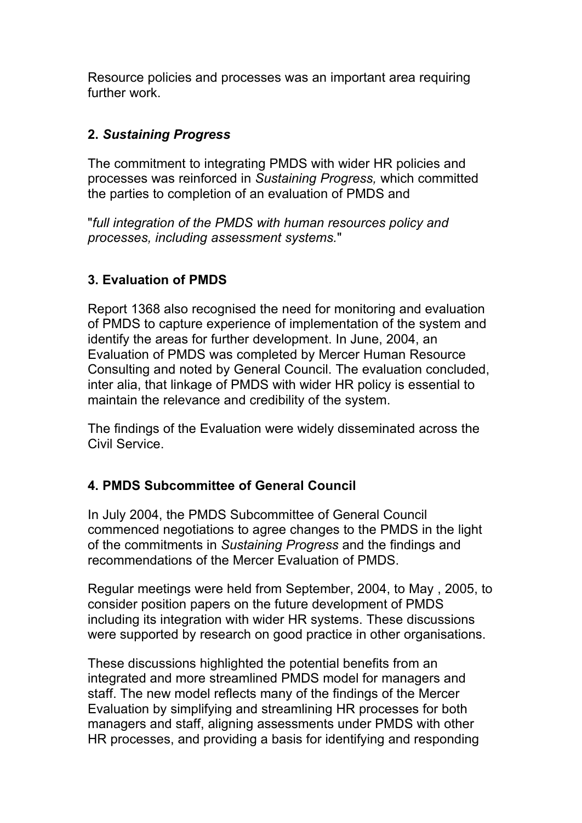Resource policies and processes was an important area requiring further work.

#### **2.** *Sustaining Progress*

The commitment to integrating PMDS with wider HR policies and processes was reinforced in *Sustaining Progress,* which committed the parties to completion of an evaluation of PMDS and

"*full integration of the PMDS with human resources policy and processes, including assessment systems.*"

#### **3. Evaluation of PMDS**

Report 1368 also recognised the need for monitoring and evaluation of PMDS to capture experience of implementation of the system and identify the areas for further development. In June, 2004, an Evaluation of PMDS was completed by Mercer Human Resource Consulting and noted by General Council. The evaluation concluded, inter alia, that linkage of PMDS with wider HR policy is essential to maintain the relevance and credibility of the system.

The findings of the Evaluation were widely disseminated across the Civil Service.

#### **4. PMDS Subcommittee of General Council**

In July 2004, the PMDS Subcommittee of General Council commenced negotiations to agree changes to the PMDS in the light of the commitments in *Sustaining Progress* and the findings and recommendations of the Mercer Evaluation of PMDS.

Regular meetings were held from September, 2004, to May , 2005, to consider position papers on the future development of PMDS including its integration with wider HR systems. These discussions were supported by research on good practice in other organisations.

These discussions highlighted the potential benefits from an integrated and more streamlined PMDS model for managers and staff. The new model reflects many of the findings of the Mercer Evaluation by simplifying and streamlining HR processes for both managers and staff, aligning assessments under PMDS with other HR processes, and providing a basis for identifying and responding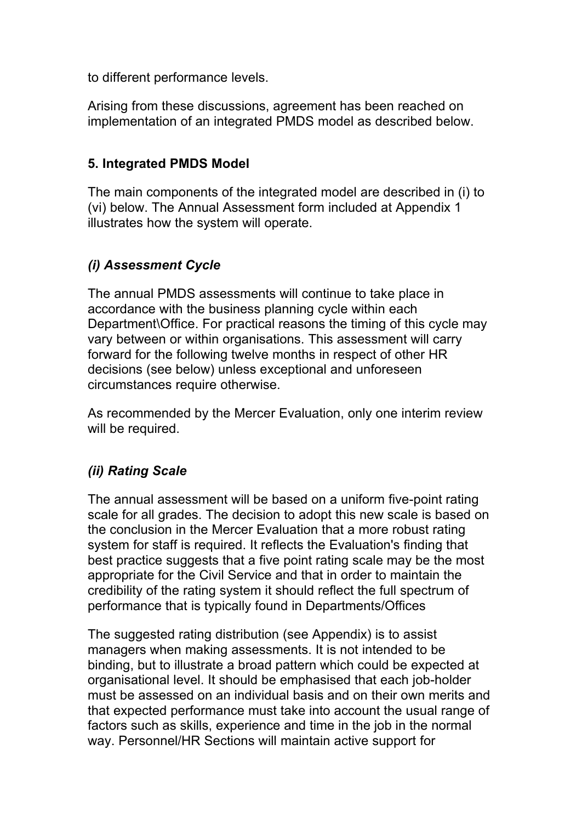to different performance levels.

Arising from these discussions, agreement has been reached on implementation of an integrated PMDS model as described below.

#### **5. Integrated PMDS Model**

The main components of the integrated model are described in (i) to (vi) below. The Annual Assessment form included at Appendix 1 illustrates how the system will operate.

#### *(i) Assessment Cycle*

The annual PMDS assessments will continue to take place in accordance with the business planning cycle within each Department\Office. For practical reasons the timing of this cycle may vary between or within organisations. This assessment will carry forward for the following twelve months in respect of other HR decisions (see below) unless exceptional and unforeseen circumstances require otherwise.

As recommended by the Mercer Evaluation, only one interim review will be required.

#### *(ii) Rating Scale*

The annual assessment will be based on a uniform five-point rating scale for all grades. The decision to adopt this new scale is based on the conclusion in the Mercer Evaluation that a more robust rating system for staff is required. It reflects the Evaluation's finding that best practice suggests that a five point rating scale may be the most appropriate for the Civil Service and that in order to maintain the credibility of the rating system it should reflect the full spectrum of performance that is typically found in Departments/Offices

The suggested rating distribution (see Appendix) is to assist managers when making assessments. It is not intended to be binding, but to illustrate a broad pattern which could be expected at organisational level. It should be emphasised that each job-holder must be assessed on an individual basis and on their own merits and that expected performance must take into account the usual range of factors such as skills, experience and time in the job in the normal way. Personnel/HR Sections will maintain active support for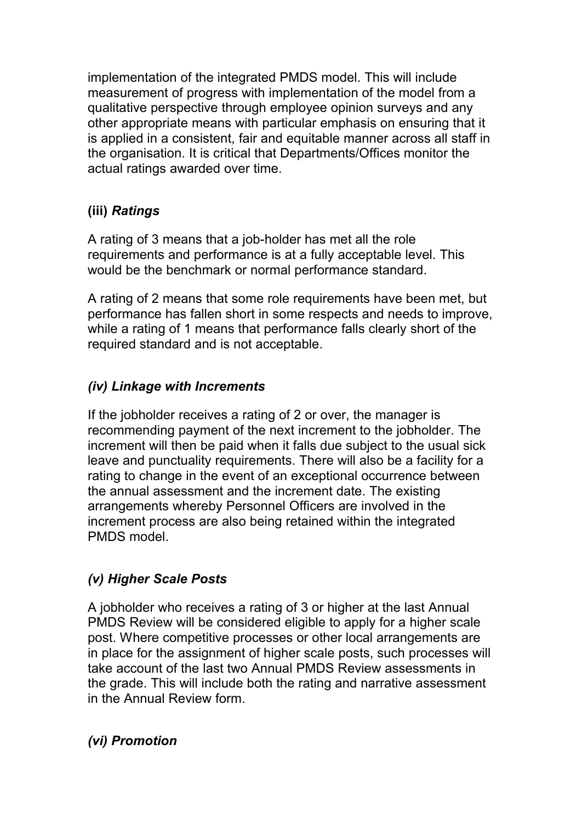implementation of the integrated PMDS model. This will include measurement of progress with implementation of the model from a qualitative perspective through employee opinion surveys and any other appropriate means with particular emphasis on ensuring that it is applied in a consistent, fair and equitable manner across all staff in the organisation. It is critical that Departments/Offices monitor the actual ratings awarded over time.

## **(iii)** *Ratings*

A rating of 3 means that a job-holder has met all the role requirements and performance is at a fully acceptable level. This would be the benchmark or normal performance standard.

A rating of 2 means that some role requirements have been met, but performance has fallen short in some respects and needs to improve, while a rating of 1 means that performance falls clearly short of the required standard and is not acceptable.

## *(iv) Linkage with Increments*

If the jobholder receives a rating of 2 or over, the manager is recommending payment of the next increment to the jobholder. The increment will then be paid when it falls due subject to the usual sick leave and punctuality requirements. There will also be a facility for a rating to change in the event of an exceptional occurrence between the annual assessment and the increment date. The existing arrangements whereby Personnel Officers are involved in the increment process are also being retained within the integrated PMDS model.

## *(v) Higher Scale Posts*

A jobholder who receives a rating of 3 or higher at the last Annual PMDS Review will be considered eligible to apply for a higher scale post. Where competitive processes or other local arrangements are in place for the assignment of higher scale posts, such processes will take account of the last two Annual PMDS Review assessments in the grade. This will include both the rating and narrative assessment in the Annual Review form.

#### *(vi) Promotion*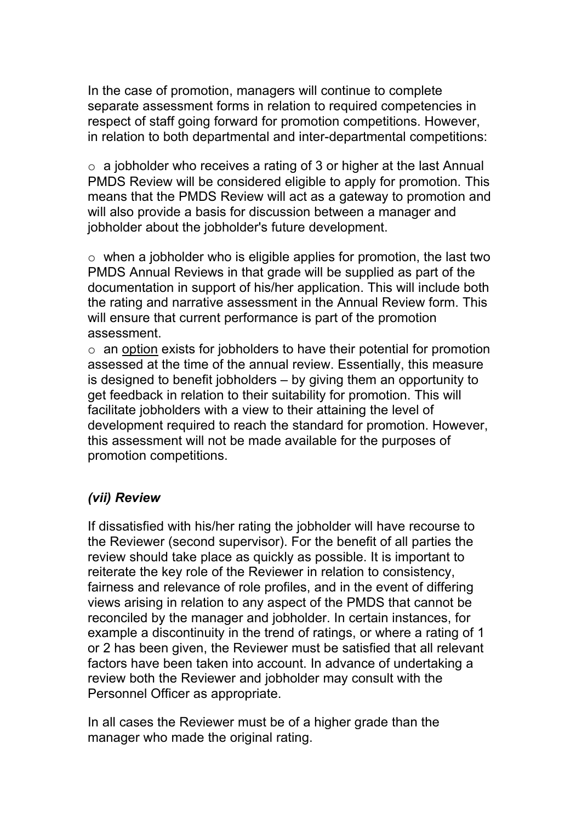In the case of promotion, managers will continue to complete separate assessment forms in relation to required competencies in respect of staff going forward for promotion competitions. However, in relation to both departmental and inter-departmental competitions:

 $\circ$  a jobholder who receives a rating of 3 or higher at the last Annual PMDS Review will be considered eligible to apply for promotion. This means that the PMDS Review will act as a gateway to promotion and will also provide a basis for discussion between a manager and jobholder about the jobholder's future development.

 $\circ$  when a jobholder who is eligible applies for promotion, the last two PMDS Annual Reviews in that grade will be supplied as part of the documentation in support of his/her application. This will include both the rating and narrative assessment in the Annual Review form. This will ensure that current performance is part of the promotion assessment.

 $\circ$  an option exists for jobholders to have their potential for promotion assessed at the time of the annual review. Essentially, this measure is designed to benefit jobholders – by giving them an opportunity to get feedback in relation to their suitability for promotion. This will facilitate jobholders with a view to their attaining the level of development required to reach the standard for promotion. However, this assessment will not be made available for the purposes of promotion competitions.

#### *(vii) Review*

If dissatisfied with his/her rating the jobholder will have recourse to the Reviewer (second supervisor). For the benefit of all parties the review should take place as quickly as possible. It is important to reiterate the key role of the Reviewer in relation to consistency, fairness and relevance of role profiles, and in the event of differing views arising in relation to any aspect of the PMDS that cannot be reconciled by the manager and jobholder. In certain instances, for example a discontinuity in the trend of ratings, or where a rating of 1 or 2 has been given, the Reviewer must be satisfied that all relevant factors have been taken into account. In advance of undertaking a review both the Reviewer and jobholder may consult with the Personnel Officer as appropriate.

In all cases the Reviewer must be of a higher grade than the manager who made the original rating.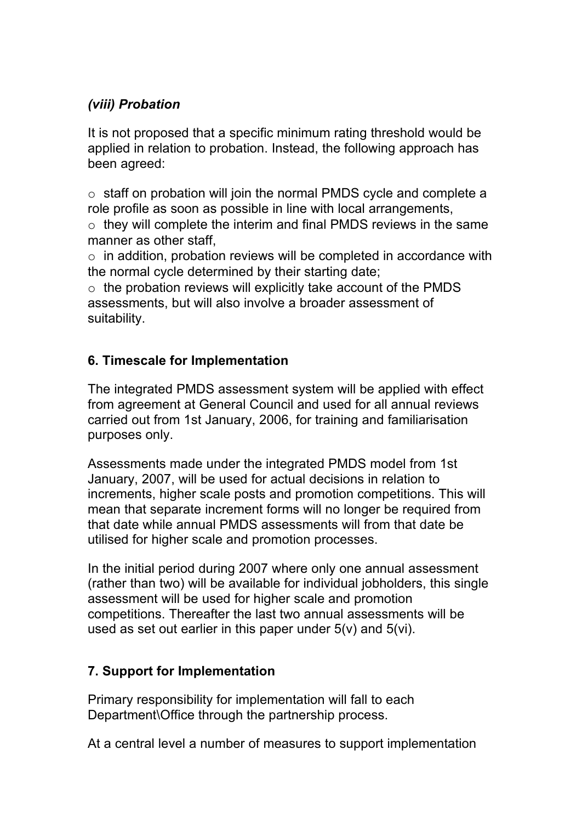## *(viii) Probation*

It is not proposed that a specific minimum rating threshold would be applied in relation to probation. Instead, the following approach has been agreed:

o staff on probation will join the normal PMDS cycle and complete a role profile as soon as possible in line with local arrangements,  $\circ$  they will complete the interim and final PMDS reviews in the same

manner as other staff,

 $\circ$  in addition, probation reviews will be completed in accordance with the normal cycle determined by their starting date;

 $\circ$  the probation reviews will explicitly take account of the PMDS assessments, but will also involve a broader assessment of suitability.

## **6. Timescale for Implementation**

The integrated PMDS assessment system will be applied with effect from agreement at General Council and used for all annual reviews carried out from 1st January, 2006, for training and familiarisation purposes only.

Assessments made under the integrated PMDS model from 1st January, 2007, will be used for actual decisions in relation to increments, higher scale posts and promotion competitions. This will mean that separate increment forms will no longer be required from that date while annual PMDS assessments will from that date be utilised for higher scale and promotion processes.

In the initial period during 2007 where only one annual assessment (rather than two) will be available for individual jobholders, this single assessment will be used for higher scale and promotion competitions. Thereafter the last two annual assessments will be used as set out earlier in this paper under 5(v) and 5(vi).

#### **7. Support for Implementation**

Primary responsibility for implementation will fall to each Department\Office through the partnership process.

At a central level a number of measures to support implementation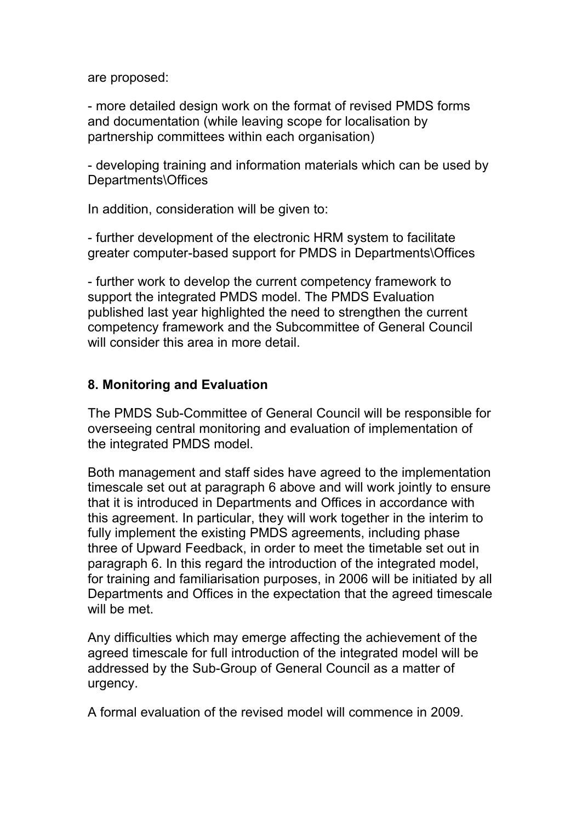are proposed:

- more detailed design work on the format of revised PMDS forms and documentation (while leaving scope for localisation by partnership committees within each organisation)

- developing training and information materials which can be used by Departments\Offices

In addition, consideration will be given to:

- further development of the electronic HRM system to facilitate greater computer-based support for PMDS in Departments\Offices

- further work to develop the current competency framework to support the integrated PMDS model. The PMDS Evaluation published last year highlighted the need to strengthen the current competency framework and the Subcommittee of General Council will consider this area in more detail.

#### **8. Monitoring and Evaluation**

The PMDS Sub-Committee of General Council will be responsible for overseeing central monitoring and evaluation of implementation of the integrated PMDS model.

Both management and staff sides have agreed to the implementation timescale set out at paragraph 6 above and will work jointly to ensure that it is introduced in Departments and Offices in accordance with this agreement. In particular, they will work together in the interim to fully implement the existing PMDS agreements, including phase three of Upward Feedback, in order to meet the timetable set out in paragraph 6. In this regard the introduction of the integrated model, for training and familiarisation purposes, in 2006 will be initiated by all Departments and Offices in the expectation that the agreed timescale will be met.

Any difficulties which may emerge affecting the achievement of the agreed timescale for full introduction of the integrated model will be addressed by the Sub-Group of General Council as a matter of urgency.

A formal evaluation of the revised model will commence in 2009.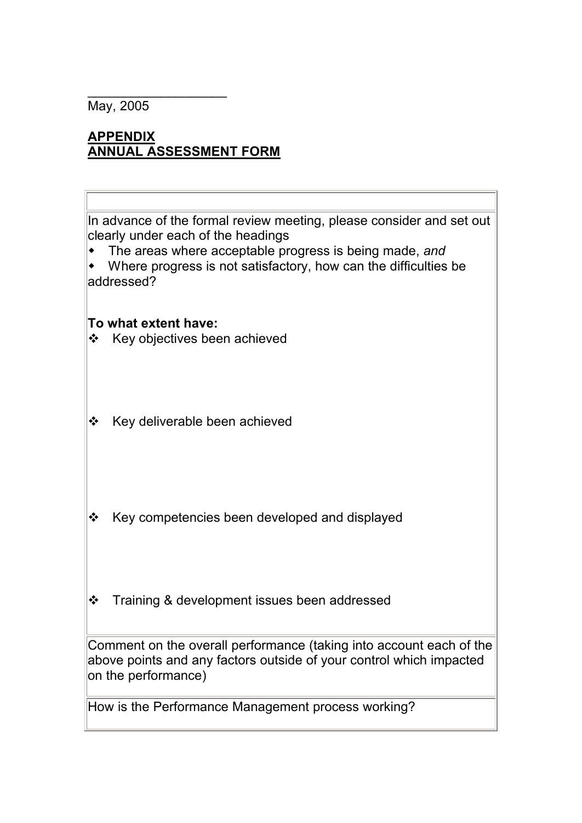May, 2005

## **APPENDIX ANNUAL ASSESSMENT FORM**

\_\_\_\_\_\_\_\_\_\_\_\_\_\_\_\_\_\_\_

In advance of the formal review meeting, please consider and set out clearly under each of the headings

 $\bullet$  The areas where acceptable progress is being made, and

w Where progress is not satisfactory, how can the difficulties be addressed?

#### **To what extent have:**

- $\div$  Key objectives been achieved
- $\div$  Key deliverable been achieved
- $\div$  Key competencies been developed and displayed
- $\div$  Training & development issues been addressed

Comment on the overall performance (taking into account each of the above points and any factors outside of your control which impacted on the performance)

How is the Performance Management process working?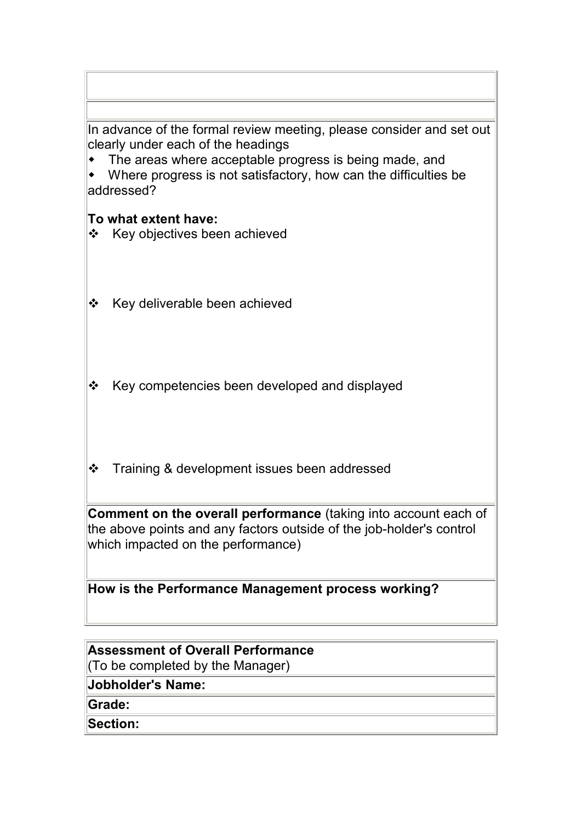| In advance of the formal review meeting, please consider and set out |
|----------------------------------------------------------------------|
| clearly under each of the headings                                   |

 $\bullet$  The areas where acceptable progress is being made, and

• Where progress is not satisfactory, how can the difficulties be addressed?

#### **To what extent have:**

- $\div$  Key objectives been achieved
- ❖ Key deliverable been achieved
- $\div$  Key competencies been developed and displayed
- **❖** Training & development issues been addressed

**Comment on the overall performance** (taking into account each of the above points and any factors outside of the job-holder's control which impacted on the performance)

**How is the Performance Management process working?**

#### **Assessment of Overall Performance** (To be completed by the Manager)

**Jobholder's Name:** 

**Grade:** 

**Section:**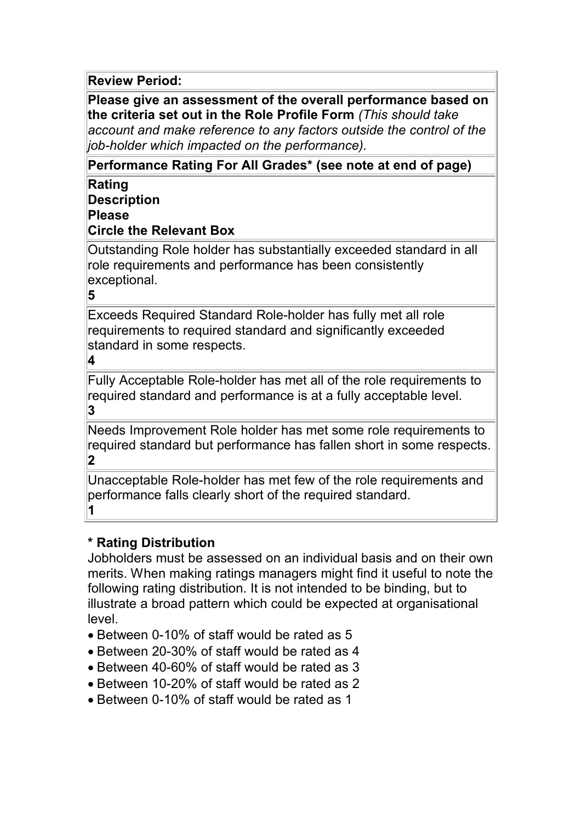**Review Period:** 

**Please give an assessment of the overall performance based on the criteria set out in the Role Profile Form** *(This should take account and make reference to any factors outside the control of the job-holder which impacted on the performance).*

**Performance Rating For All Grades\* (see note at end of page)**

**Rating Description** 

**Please**

**Circle the Relevant Box**

Outstanding Role holder has substantially exceeded standard in all role requirements and performance has been consistently exceptional.

**5**

Exceeds Required Standard Role-holder has fully met all role requirements to required standard and significantly exceeded standard in some respects.

**4**

Fully Acceptable Role-holder has met all of the role requirements to required standard and performance is at a fully acceptable level. **3**

Needs Improvement Role holder has met some role requirements to required standard but performance has fallen short in some respects. **2**

Unacceptable Role-holder has met few of the role requirements and performance falls clearly short of the required standard. **1**

#### **\* Rating Distribution**

Jobholders must be assessed on an individual basis and on their own merits. When making ratings managers might find it useful to note the following rating distribution. It is not intended to be binding, but to illustrate a broad pattern which could be expected at organisational level.

- · Between 0-10% of staff would be rated as 5
- · Between 20-30% of staff would be rated as 4
- · Between 40-60% of staff would be rated as 3
- · Between 10-20% of staff would be rated as 2
- · Between 0-10% of staff would be rated as 1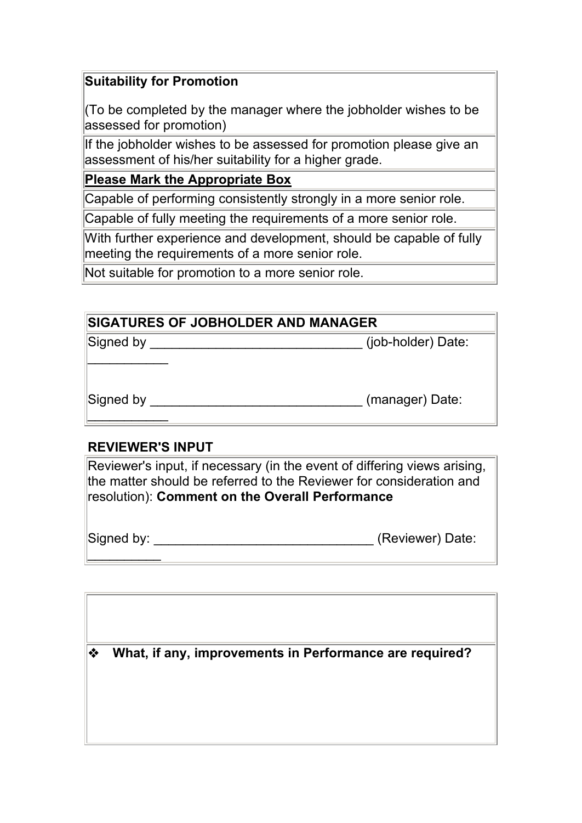#### **Suitability for Promotion**

(To be completed by the manager where the jobholder wishes to be assessed for promotion)

If the jobholder wishes to be assessed for promotion please give an assessment of his/her suitability for a higher grade.

#### **Please Mark the Appropriate Box**

Capable of performing consistently strongly in a more senior role.

Capable of fully meeting the requirements of a more senior role.

With further experience and development, should be capable of fully meeting the requirements of a more senior role.

Not suitable for promotion to a more senior role.

| SIGATURES OF JOBHOLDER AND MANAGER |                    |  |
|------------------------------------|--------------------|--|
| Signed by                          | (job-holder) Date: |  |
|                                    |                    |  |
|                                    |                    |  |
| Signed by                          | (manager) Date:    |  |
|                                    |                    |  |

## **REVIEWER'S INPUT**

Reviewer's input, if necessary (in the event of differing views arising, the matter should be referred to the Reviewer for consideration and resolution): **Comment on the Overall Performance**

Signed by:  $\blacksquare$  $\frac{1}{2}$ 

| ❖ | What, if any, improvements in Performance are required? |
|---|---------------------------------------------------------|
|   |                                                         |
|   |                                                         |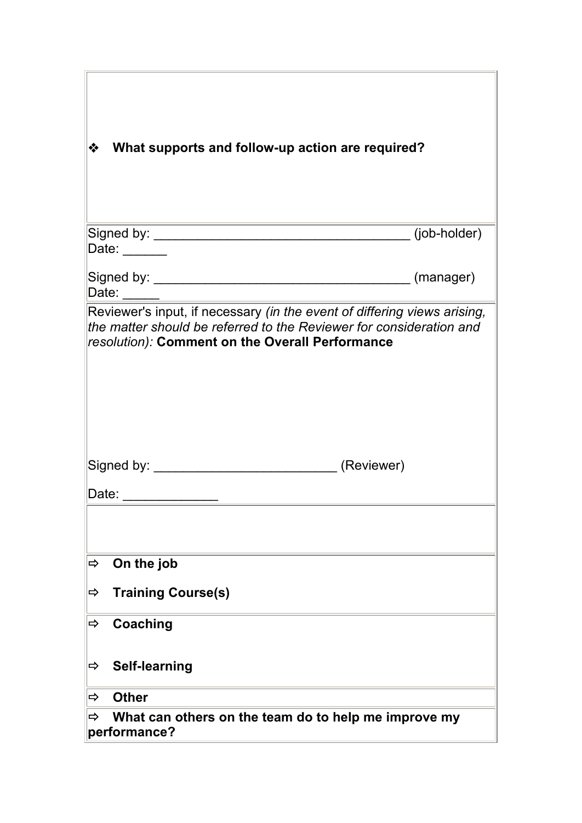| ❖<br>What supports and follow-up action are required?                                                                                                                                              |              |  |
|----------------------------------------------------------------------------------------------------------------------------------------------------------------------------------------------------|--------------|--|
|                                                                                                                                                                                                    | (job-holder) |  |
| Date: ______<br>Date:                                                                                                                                                                              | (manager)    |  |
| Reviewer's input, if necessary (in the event of differing views arising,<br>the matter should be referred to the Reviewer for consideration and<br>resolution): Comment on the Overall Performance |              |  |
|                                                                                                                                                                                                    |              |  |
| Date:                                                                                                                                                                                              |              |  |
| On the job<br>$\Rightarrow$                                                                                                                                                                        |              |  |
| <b>Training Course(s)</b><br>$\Rightarrow$                                                                                                                                                         |              |  |
| Coaching<br>⇨                                                                                                                                                                                      |              |  |
| <b>Self-learning</b><br>$\Rightarrow$                                                                                                                                                              |              |  |
| <b>Other</b><br>$\Rightarrow$                                                                                                                                                                      |              |  |
| What can others on the team do to help me improve my<br>⇨<br>performance?                                                                                                                          |              |  |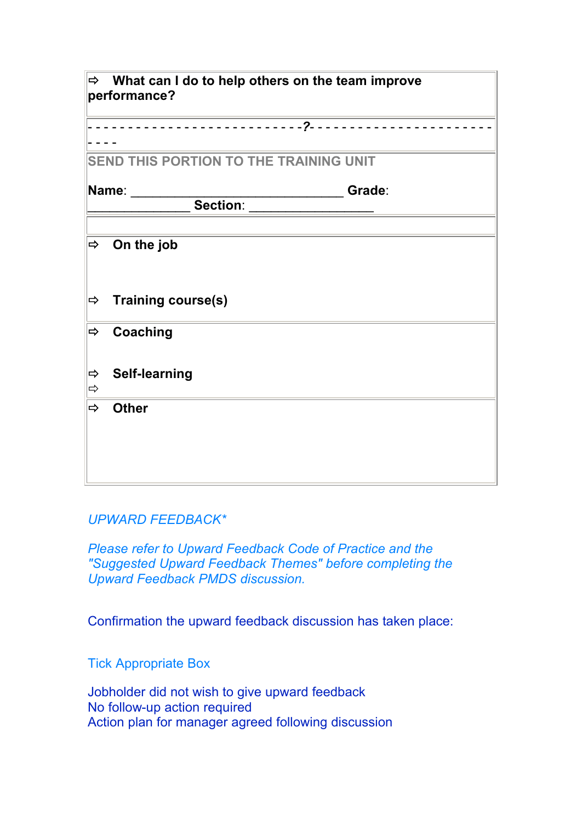| $\Rightarrow$                          | What can I do to help others on the team improve<br>performance? |  |  |
|----------------------------------------|------------------------------------------------------------------|--|--|
|                                        |                                                                  |  |  |
| SEND THIS PORTION TO THE TRAINING UNIT |                                                                  |  |  |
|                                        | Name:<br>Grade:<br>Section:                                      |  |  |
|                                        |                                                                  |  |  |
| $\Rightarrow$                          | On the job                                                       |  |  |
| $\Rightarrow$                          | <b>Training course(s)</b>                                        |  |  |
| $\Rightarrow$                          | <b>Coaching</b>                                                  |  |  |
| $\Rightarrow$<br>$\Rightarrow$         | <b>Self-learning</b>                                             |  |  |
| $\Rightarrow$                          | <b>Other</b>                                                     |  |  |
|                                        |                                                                  |  |  |
|                                        |                                                                  |  |  |

#### *UPWARD FEEDBACK\**

*Please refer to Upward Feedback Code of Practice and the "Suggested Upward Feedback Themes" before completing the Upward Feedback PMDS discussion.*

Confirmation the upward feedback discussion has taken place:

Tick Appropriate Box

Jobholder did not wish to give upward feedback No follow-up action required Action plan for manager agreed following discussion